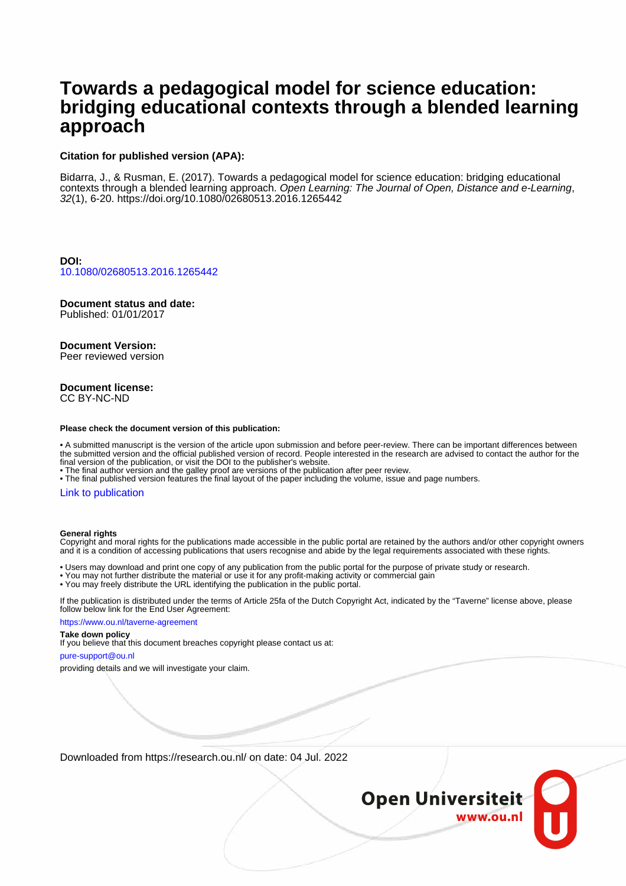# **Towards a pedagogical model for science education: bridging educational contexts through a blended learning approach**

#### **Citation for published version (APA):**

Bidarra, J., & Rusman, E. (2017). Towards a pedagogical model for science education: bridging educational contexts through a blended learning approach. Open Learning: The Journal of Open, Distance and e-Learning, 32(1), 6-20.<https://doi.org/10.1080/02680513.2016.1265442>

**DOI:** [10.1080/02680513.2016.1265442](https://doi.org/10.1080/02680513.2016.1265442)

## **Document status and date:**

Published: 01/01/2017

## **Document Version:**

Peer reviewed version

#### **Document license:** CC BY-NC-ND

#### **Please check the document version of this publication:**

• A submitted manuscript is the version of the article upon submission and before peer-review. There can be important differences between the submitted version and the official published version of record. People interested in the research are advised to contact the author for the final version of the publication, or visit the DOI to the publisher's website.

• The final author version and the galley proof are versions of the publication after peer review.

• The final published version features the final layout of the paper including the volume, issue and page numbers.

#### [Link to publication](https://research.ou.nl/en/publications/20264f03-ade3-4a54-af8c-e32e28baa542)

#### **General rights**

Copyright and moral rights for the publications made accessible in the public portal are retained by the authors and/or other copyright owners and it is a condition of accessing publications that users recognise and abide by the legal requirements associated with these rights.

• Users may download and print one copy of any publication from the public portal for the purpose of private study or research.

- You may not further distribute the material or use it for any profit-making activity or commercial gain
- You may freely distribute the URL identifying the publication in the public portal.

If the publication is distributed under the terms of Article 25fa of the Dutch Copyright Act, indicated by the "Taverne" license above, please follow below link for the End User Agreement:

https://www.ou.nl/taverne-agreement

#### **Take down policy**

If you believe that this document breaches copyright please contact us at:

pure-support@ou.nl

providing details and we will investigate your claim.

Downloaded from https://research.ou.nl/ on date: 04 Jul. 2022

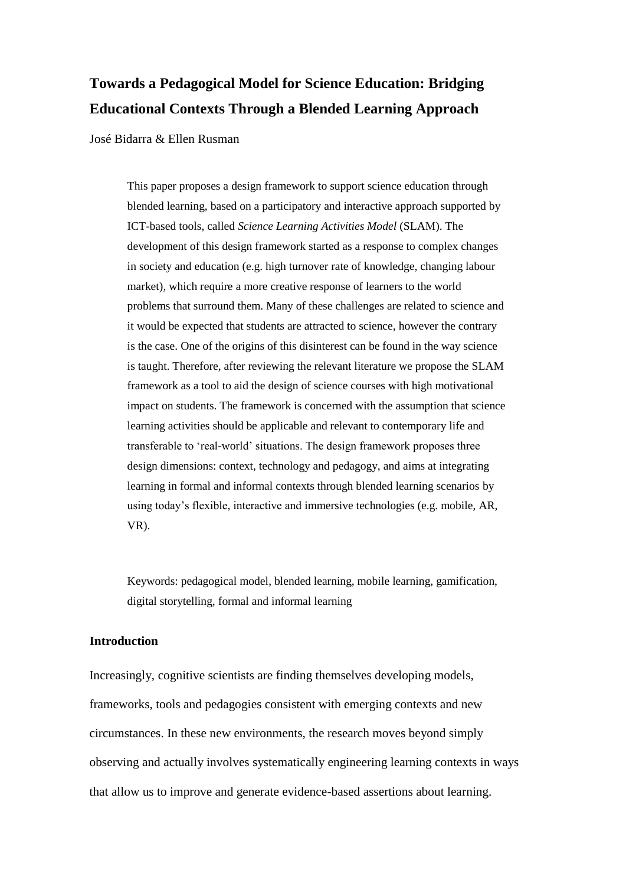# **Towards a Pedagogical Model for Science Education: Bridging Educational Contexts Through a Blended Learning Approach**

José Bidarra & Ellen Rusman

This paper proposes a design framework to support science education through blended learning, based on a participatory and interactive approach supported by ICT-based tools, called *Science Learning Activities Model* (SLAM). The development of this design framework started as a response to complex changes in society and education (e.g. high turnover rate of knowledge, changing labour market), which require a more creative response of learners to the world problems that surround them. Many of these challenges are related to science and it would be expected that students are attracted to science, however the contrary is the case. One of the origins of this disinterest can be found in the way science is taught. Therefore, after reviewing the relevant literature we propose the SLAM framework as a tool to aid the design of science courses with high motivational impact on students. The framework is concerned with the assumption that science learning activities should be applicable and relevant to contemporary life and transferable to 'real-world' situations. The design framework proposes three design dimensions: context, technology and pedagogy, and aims at integrating learning in formal and informal contexts through blended learning scenarios by using today's flexible, interactive and immersive technologies (e.g. mobile, AR, VR).

Keywords: pedagogical model, blended learning, mobile learning, gamification, digital storytelling, formal and informal learning

## **Introduction**

Increasingly, cognitive scientists are finding themselves developing models, frameworks, tools and pedagogies consistent with emerging contexts and new circumstances. In these new environments, the research moves beyond simply observing and actually involves systematically engineering learning contexts in ways that allow us to improve and generate evidence-based assertions about learning.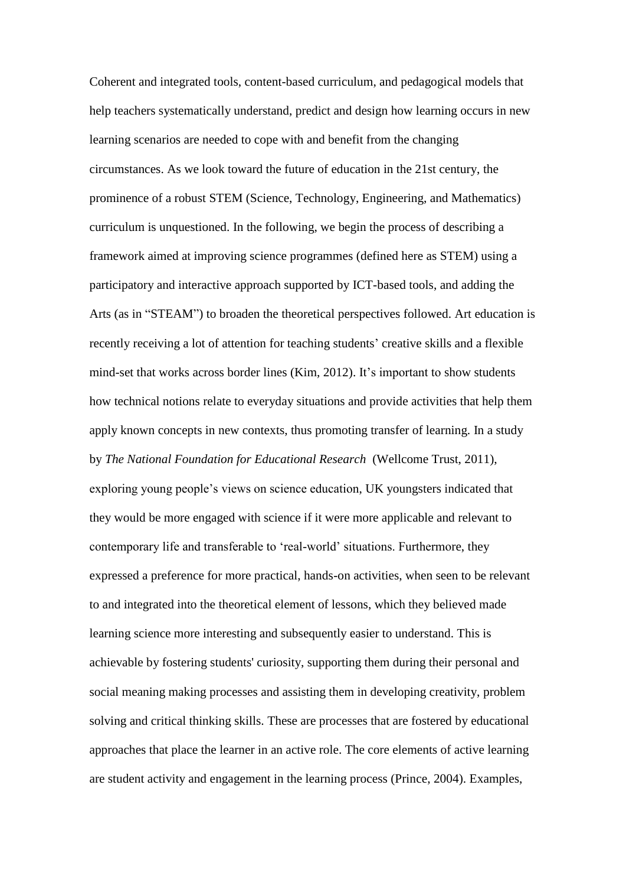Coherent and integrated tools, content-based curriculum, and pedagogical models that help teachers systematically understand, predict and design how learning occurs in new learning scenarios are needed to cope with and benefit from the changing circumstances. As we look toward the future of education in the 21st century, the prominence of a robust STEM (Science, Technology, Engineering, and Mathematics) curriculum is unquestioned. In the following, we begin the process of describing a framework aimed at improving science programmes (defined here as STEM) using a participatory and interactive approach supported by ICT-based tools, and adding the Arts (as in "STEAM") to broaden the theoretical perspectives followed. Art education is recently receiving a lot of attention for teaching students' creative skills and a flexible mind-set that works across border lines (Kim, 2012). It's important to show students how technical notions relate to everyday situations and provide activities that help them apply known concepts in new contexts, thus promoting transfer of learning. In a study by *The National Foundation for Educational Research* (Wellcome Trust, 2011), exploring young people's views on science education, UK youngsters indicated that they would be more engaged with science if it were more applicable and relevant to contemporary life and transferable to 'real-world' situations. Furthermore, they expressed a preference for more practical, hands-on activities, when seen to be relevant to and integrated into the theoretical element of lessons, which they believed made learning science more interesting and subsequently easier to understand. This is achievable by fostering students' curiosity, supporting them during their personal and social meaning making processes and assisting them in developing creativity, problem solving and critical thinking skills. These are processes that are fostered by educational approaches that place the learner in an active role. The core elements of active learning are student activity and engagement in the learning process (Prince, 2004). Examples,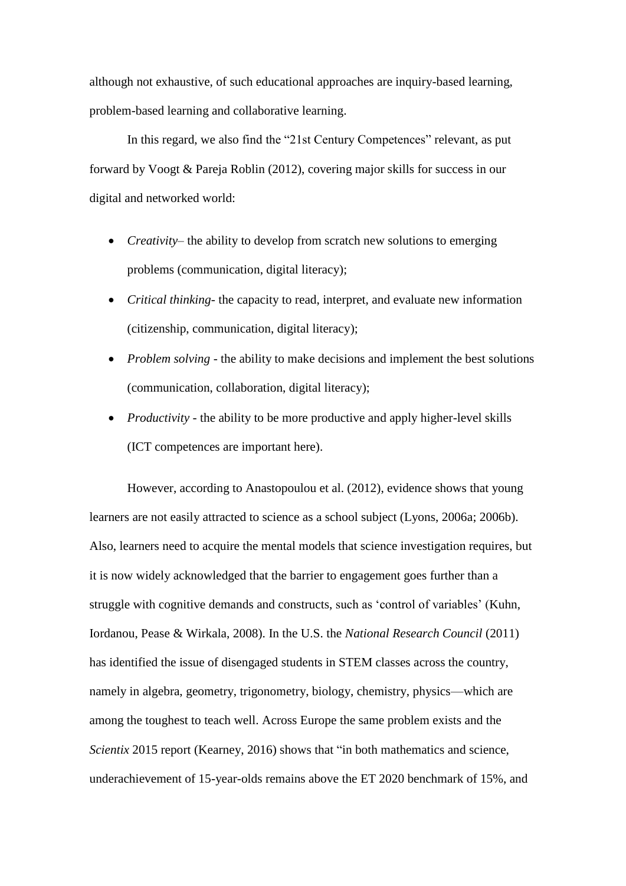although not exhaustive, of such educational approaches are inquiry-based learning, problem-based learning and collaborative learning.

In this regard, we also find the "21st Century Competences" relevant, as put forward by Voogt & Pareja Roblin (2012), covering major skills for success in our digital and networked world:

- *Creativity* the ability to develop from scratch new solutions to emerging problems (communication, digital literacy);
- *Critical thinking* the capacity to read, interpret, and evaluate new information (citizenship, communication, digital literacy);
- *Problem solving* the ability to make decisions and implement the best solutions (communication, collaboration, digital literacy);
- *Productivity* the ability to be more productive and apply higher-level skills (ICT competences are important here).

However, according to Anastopoulou et al. (2012), evidence shows that young learners are not easily attracted to science as a school subject (Lyons, 2006a; 2006b). Also, learners need to acquire the mental models that science investigation requires, but it is now widely acknowledged that the barrier to engagement goes further than a struggle with cognitive demands and constructs, such as 'control of variables' (Kuhn, Iordanou, Pease & Wirkala, 2008). In the U.S. the *National Research Council* (2011) has identified the issue of disengaged students in STEM classes across the country, namely in algebra, geometry, trigonometry, biology, chemistry, physics—which are among the toughest to teach well. Across Europe the same problem exists and the *Scientix* 2015 report (Kearney, 2016) shows that "in both mathematics and science, underachievement of 15-year-olds remains above the ET 2020 benchmark of 15%, and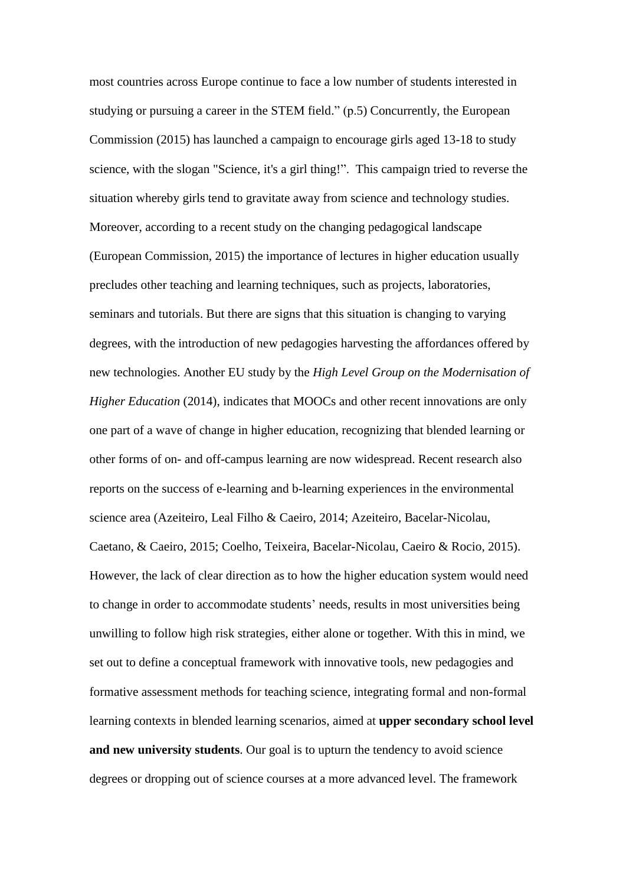most countries across Europe continue to face a low number of students interested in studying or pursuing a career in the STEM field." (p.5) Concurrently, the European Commission (2015) has launched a campaign to encourage girls aged 13-18 to study science, with the slogan "Science, it's a girl thing!". This campaign tried to reverse the situation whereby girls tend to gravitate away from science and technology studies. Moreover, according to a recent study on the changing pedagogical landscape (European Commission, 2015) the importance of lectures in higher education usually precludes other teaching and learning techniques, such as projects, laboratories, seminars and tutorials. But there are signs that this situation is changing to varying degrees, with the introduction of new pedagogies harvesting the affordances offered by new technologies. Another EU study by the *High Level Group on the Modernisation of Higher Education* (2014), indicates that MOOCs and other recent innovations are only one part of a wave of change in higher education, recognizing that blended learning or other forms of on- and off-campus learning are now widespread. Recent research also reports on the success of e-learning and b-learning experiences in the environmental science area (Azeiteiro, Leal Filho & Caeiro, 2014; Azeiteiro, Bacelar-Nicolau, Caetano, & Caeiro, 2015; Coelho, Teixeira, Bacelar-Nicolau, Caeiro & Rocio, 2015). However, the lack of clear direction as to how the higher education system would need to change in order to accommodate students' needs, results in most universities being unwilling to follow high risk strategies, either alone or together. With this in mind, we set out to define a conceptual framework with innovative tools, new pedagogies and formative assessment methods for teaching science, integrating formal and non-formal learning contexts in blended learning scenarios, aimed at **upper secondary school level and new university students**. Our goal is to upturn the tendency to avoid science degrees or dropping out of science courses at a more advanced level. The framework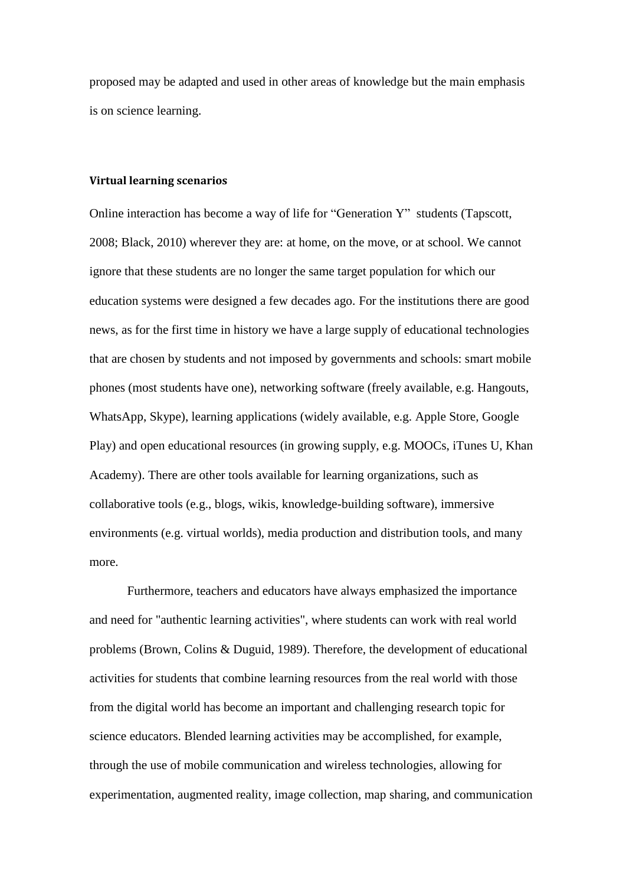proposed may be adapted and used in other areas of knowledge but the main emphasis is on science learning.

#### **Virtual learning scenarios**

Online interaction has become a way of life for "Generation Y" students (Tapscott, 2008; Black, 2010) wherever they are: at home, on the move, or at school. We cannot ignore that these students are no longer the same target population for which our education systems were designed a few decades ago. For the institutions there are good news, as for the first time in history we have a large supply of educational technologies that are chosen by students and not imposed by governments and schools: smart mobile phones (most students have one), networking software (freely available, e.g. Hangouts, WhatsApp, Skype), learning applications (widely available, e.g. Apple Store, Google Play) and open educational resources (in growing supply, e.g. MOOCs, iTunes U, Khan Academy). There are other tools available for learning organizations, such as collaborative tools (e.g., blogs, wikis, knowledge-building software), immersive environments (e.g. virtual worlds), media production and distribution tools, and many more.

Furthermore, teachers and educators have always emphasized the importance and need for "authentic learning activities", where students can work with real world problems (Brown, Colins & Duguid, 1989). Therefore, the development of educational activities for students that combine learning resources from the real world with those from the digital world has become an important and challenging research topic for science educators. Blended learning activities may be accomplished, for example, through the use of mobile communication and wireless technologies, allowing for experimentation, augmented reality, image collection, map sharing, and communication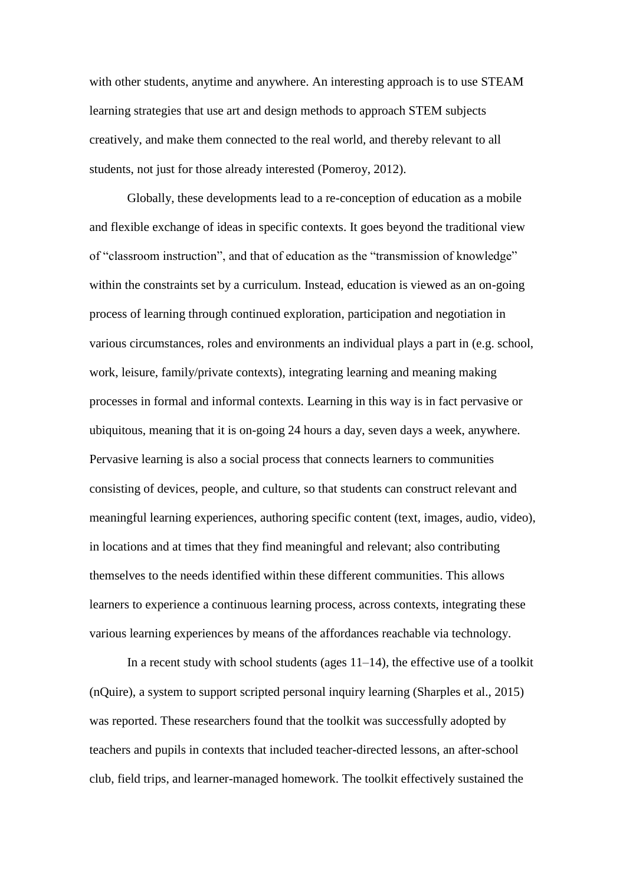with other students, anytime and anywhere. An interesting approach is to use STEAM learning strategies that use art and design methods to approach STEM subjects creatively, and make them connected to the real world, and thereby relevant to all students, not just for those already interested (Pomeroy, 2012).

Globally, these developments lead to a re-conception of education as a mobile and flexible exchange of ideas in specific contexts. It goes beyond the traditional view of "classroom instruction", and that of education as the "transmission of knowledge" within the constraints set by a curriculum. Instead, education is viewed as an on-going process of learning through continued exploration, participation and negotiation in various circumstances, roles and environments an individual plays a part in (e.g. school, work, leisure, family/private contexts), integrating learning and meaning making processes in formal and informal contexts. Learning in this way is in fact pervasive or ubiquitous, meaning that it is on-going 24 hours a day, seven days a week, anywhere. Pervasive learning is also a social process that connects learners to communities consisting of devices, people, and culture, so that students can construct relevant and meaningful learning experiences, authoring specific content (text, images, audio, video), in locations and at times that they find meaningful and relevant; also contributing themselves to the needs identified within these different communities. This allows learners to experience a continuous learning process, across contexts, integrating these various learning experiences by means of the affordances reachable via technology.

In a recent study with school students (ages  $11-14$ ), the effective use of a toolkit (nQuire), a system to support scripted personal inquiry learning (Sharples et al., 2015) was reported. These researchers found that the toolkit was successfully adopted by teachers and pupils in contexts that included teacher-directed lessons, an after-school club, field trips, and learner-managed homework. The toolkit effectively sustained the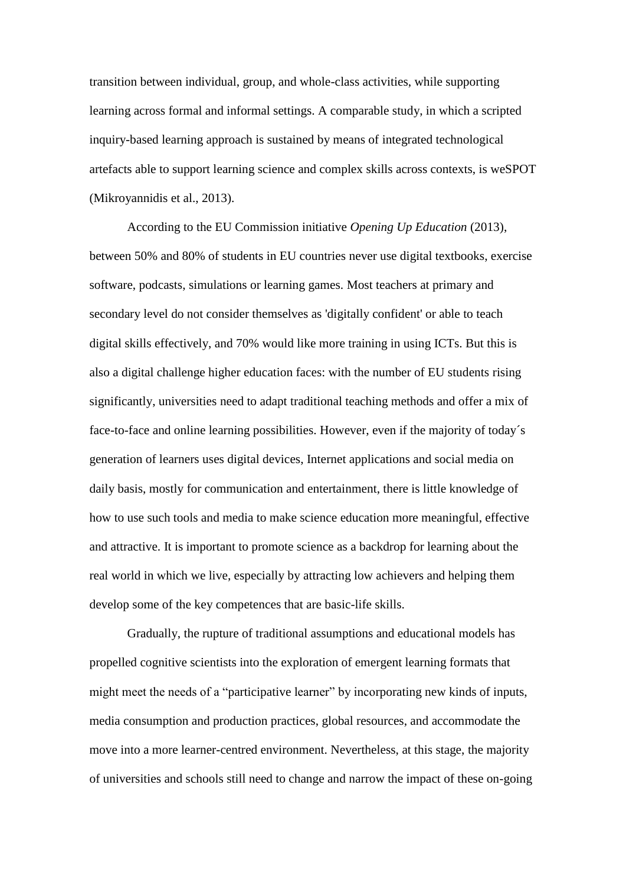transition between individual, group, and whole-class activities, while supporting learning across formal and informal settings. A comparable study, in which a scripted inquiry-based learning approach is sustained by means of integrated technological artefacts able to support learning science and complex skills across contexts, is weSPOT (Mikroyannidis et al., 2013).

According to the EU Commission initiative *Opening Up Education* (2013), between 50% and 80% of students in EU countries never use digital textbooks, exercise software, podcasts, simulations or learning games. Most teachers at primary and secondary level do not consider themselves as 'digitally confident' or able to teach digital skills effectively, and 70% would like more training in using ICTs. But this is also a digital challenge higher education faces: with the number of EU students rising significantly, universities need to adapt traditional teaching methods and offer a mix of face-to-face and online learning possibilities. However, even if the majority of today´s generation of learners uses digital devices, Internet applications and social media on daily basis, mostly for communication and entertainment, there is little knowledge of how to use such tools and media to make science education more meaningful, effective and attractive. It is important to promote science as a backdrop for learning about the real world in which we live, especially by attracting low achievers and helping them develop some of the key competences that are basic-life skills.

Gradually, the rupture of traditional assumptions and educational models has propelled cognitive scientists into the exploration of emergent learning formats that might meet the needs of a "participative learner" by incorporating new kinds of inputs, media consumption and production practices, global resources, and accommodate the move into a more learner-centred environment. Nevertheless, at this stage, the majority of universities and schools still need to change and narrow the impact of these on-going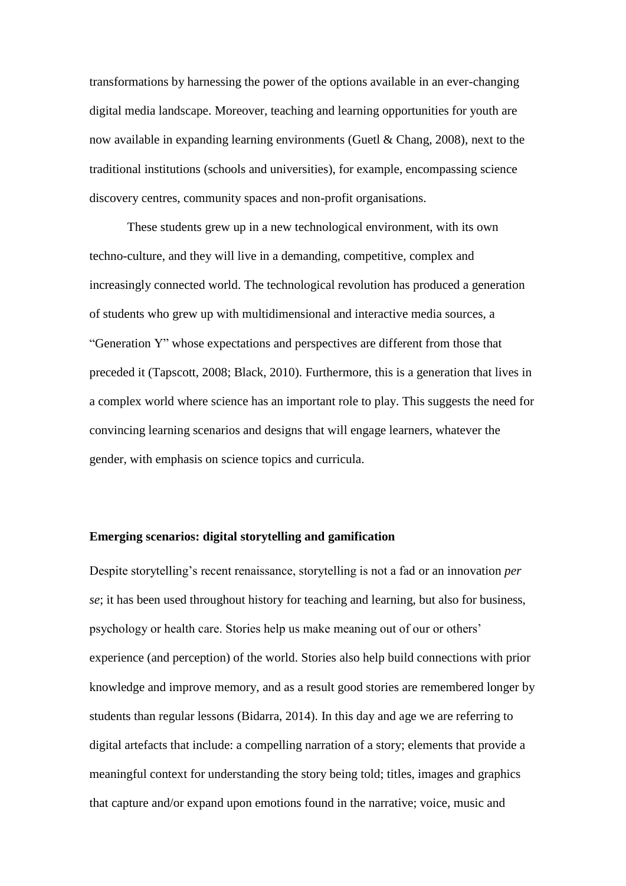transformations by harnessing the power of the options available in an ever-changing digital media landscape. Moreover, teaching and learning opportunities for youth are now available in expanding learning environments (Guetl & Chang, 2008), next to the traditional institutions (schools and universities), for example, encompassing science discovery centres, community spaces and non-profit organisations.

These students grew up in a new technological environment, with its own techno-culture, and they will live in a demanding, competitive, complex and increasingly connected world. The technological revolution has produced a generation of students who grew up with multidimensional and interactive media sources, a "Generation Y" whose expectations and perspectives are different from those that preceded it (Tapscott, 2008; Black, 2010). Furthermore, this is a generation that lives in a complex world where science has an important role to play. This suggests the need for convincing learning scenarios and designs that will engage learners, whatever the gender, with emphasis on science topics and curricula.

#### **Emerging scenarios: digital storytelling and gamification**

Despite storytelling's recent renaissance, storytelling is not a fad or an innovation *per se*; it has been used throughout history for teaching and learning, but also for business, psychology or health care. Stories help us make meaning out of our or others' experience (and perception) of the world. Stories also help build connections with prior knowledge and improve memory, and as a result good stories are remembered longer by students than regular lessons (Bidarra, 2014). In this day and age we are referring to digital artefacts that include: a compelling narration of a story; elements that provide a meaningful context for understanding the story being told; titles, images and graphics that capture and/or expand upon emotions found in the narrative; voice, music and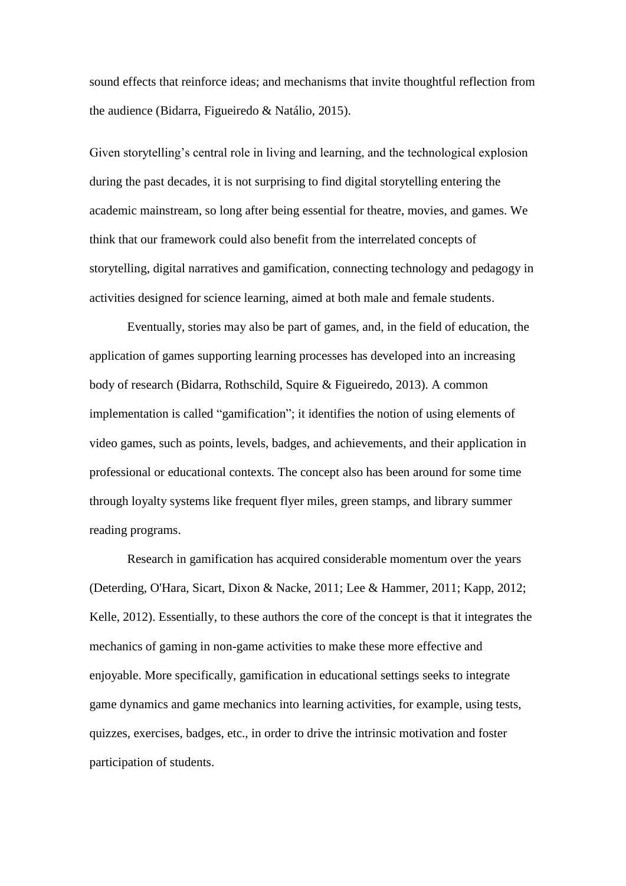sound effects that reinforce ideas; and mechanisms that invite thoughtful reflection from the audience (Bidarra, Figueiredo & Natálio, 2015).

Given storytelling's central role in living and learning, and the technological explosion during the past decades, it is not surprising to find digital storytelling entering the academic mainstream, so long after being essential for theatre, movies, and games. We think that our framework could also benefit from the interrelated concepts of storytelling, digital narratives and gamification, connecting technology and pedagogy in activities designed for science learning, aimed at both male and female students.

Eventually, stories may also be part of games, and, in the field of education, the application of games supporting learning processes has developed into an increasing body of research (Bidarra, Rothschild, Squire & Figueiredo, 2013). A common implementation is called "gamification"; it identifies the notion of using elements of video games, such as points, levels, badges, and achievements, and their application in professional or educational contexts. The concept also has been around for some time through loyalty systems like frequent flyer miles, green stamps, and library summer reading programs.

Research in gamification has acquired considerable momentum over the years (Deterding, O'Hara, Sicart, Dixon & Nacke, 2011; Lee & Hammer, 2011; Kapp, 2012; Kelle, 2012). Essentially, to these authors the core of the concept is that it integrates the mechanics of gaming in non-game activities to make these more effective and enjoyable. More specifically, gamification in educational settings seeks to integrate game dynamics and game mechanics into learning activities, for example, using tests, quizzes, exercises, badges, etc., in order to drive the intrinsic motivation and foster participation of students.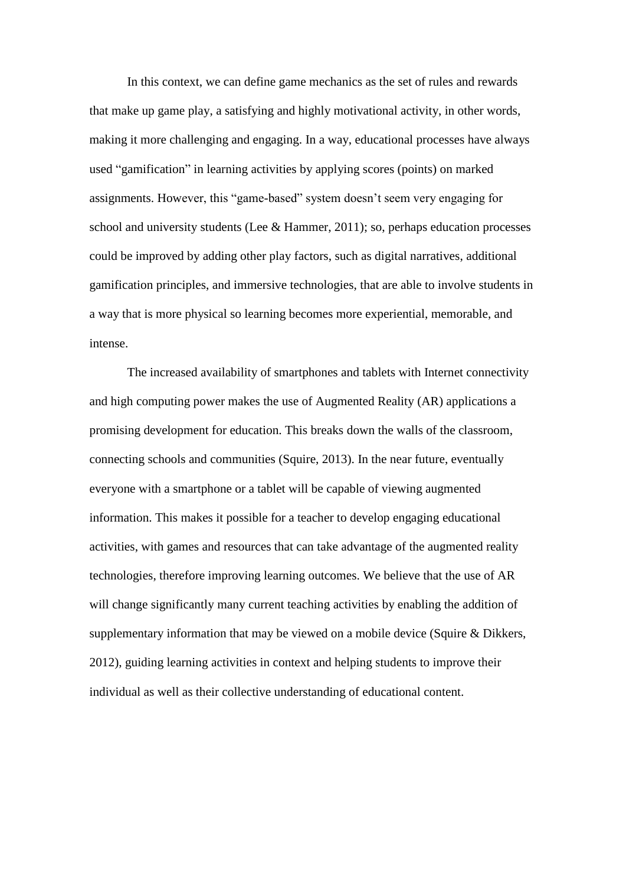In this context, we can define game mechanics as the set of rules and rewards that make up game play, a satisfying and highly motivational activity, in other words, making it more challenging and engaging. In a way, educational processes have always used "gamification" in learning activities by applying scores (points) on marked assignments. However, this "game-based" system doesn't seem very engaging for school and university students (Lee  $&$  Hammer, 2011); so, perhaps education processes could be improved by adding other play factors, such as digital narratives, additional gamification principles, and immersive technologies, that are able to involve students in a way that is more physical so learning becomes more experiential, memorable, and intense.

The increased availability of smartphones and tablets with Internet connectivity and high computing power makes the use of Augmented Reality (AR) applications a promising development for education. This breaks down the walls of the classroom, connecting schools and communities (Squire, 2013). In the near future, eventually everyone with a smartphone or a tablet will be capable of viewing augmented information. This makes it possible for a teacher to develop engaging educational activities, with games and resources that can take advantage of the augmented reality technologies, therefore improving learning outcomes. We believe that the use of AR will change significantly many current teaching activities by enabling the addition of supplementary information that may be viewed on a mobile device (Squire & Dikkers, 2012), guiding learning activities in context and helping students to improve their individual as well as their collective understanding of educational content.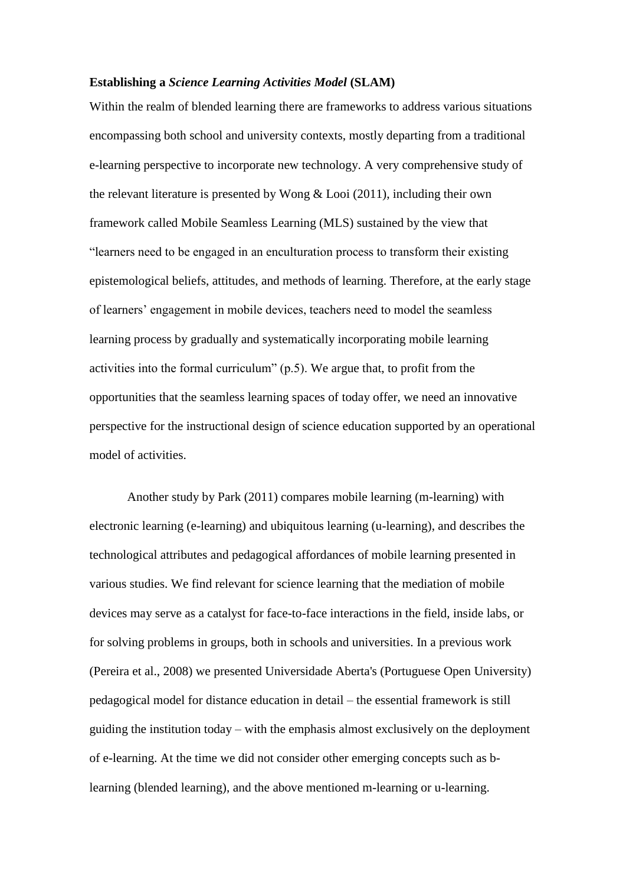## **Establishing a** *Science Learning Activities Model* **(SLAM)**

Within the realm of blended learning there are frameworks to address various situations encompassing both school and university contexts, mostly departing from a traditional e-learning perspective to incorporate new technology. A very comprehensive study of the relevant literature is presented by Wong  $&$  Looi (2011), including their own framework called Mobile Seamless Learning (MLS) sustained by the view that "learners need to be engaged in an enculturation process to transform their existing epistemological beliefs, attitudes, and methods of learning. Therefore, at the early stage of learners' engagement in mobile devices, teachers need to model the seamless learning process by gradually and systematically incorporating mobile learning activities into the formal curriculum" (p.5). We argue that, to profit from the opportunities that the seamless learning spaces of today offer, we need an innovative perspective for the instructional design of science education supported by an operational model of activities.

Another study by Park (2011) compares mobile learning (m-learning) with electronic learning (e-learning) and ubiquitous learning (u-learning), and describes the technological attributes and pedagogical affordances of mobile learning presented in various studies. We find relevant for science learning that the mediation of mobile devices may serve as a catalyst for face-to-face interactions in the field, inside labs, or for solving problems in groups, both in schools and universities. In a previous work (Pereira et al., 2008) we presented Universidade Aberta's (Portuguese Open University) pedagogical model for distance education in detail – the essential framework is still guiding the institution today – with the emphasis almost exclusively on the deployment of e-learning. At the time we did not consider other emerging concepts such as blearning (blended learning), and the above mentioned m-learning or u-learning.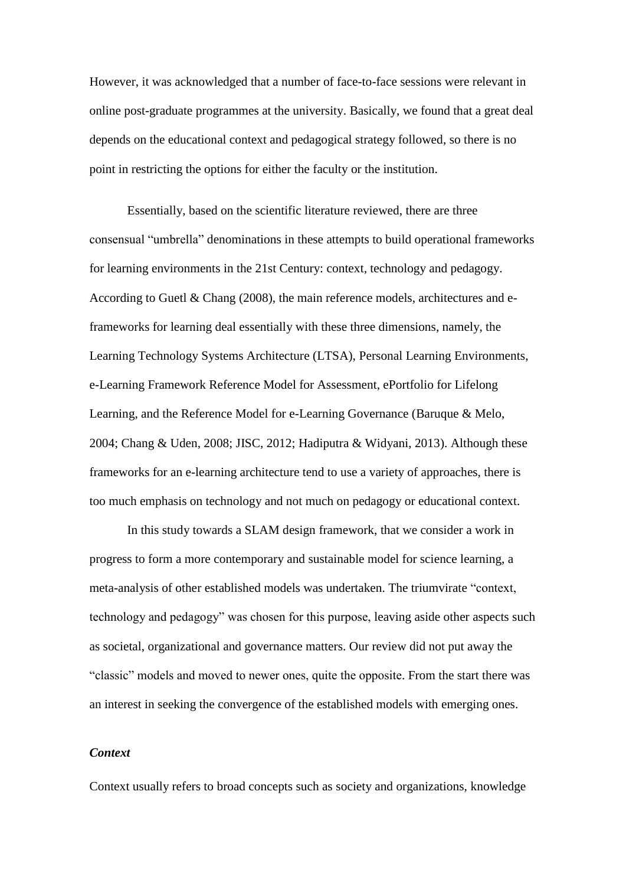However, it was acknowledged that a number of face-to-face sessions were relevant in online post-graduate programmes at the university. Basically, we found that a great deal depends on the educational context and pedagogical strategy followed, so there is no point in restricting the options for either the faculty or the institution.

Essentially, based on the scientific literature reviewed, there are three consensual "umbrella" denominations in these attempts to build operational frameworks for learning environments in the 21st Century: context, technology and pedagogy. According to Guetl & Chang  $(2008)$ , the main reference models, architectures and eframeworks for learning deal essentially with these three dimensions, namely, the Learning Technology Systems Architecture (LTSA), Personal Learning Environments, e-Learning Framework Reference Model for Assessment, ePortfolio for Lifelong Learning, and the Reference Model for e-Learning Governance (Baruque & Melo, 2004; Chang & Uden, 2008; JISC, 2012; Hadiputra & Widyani, 2013). Although these frameworks for an e-learning architecture tend to use a variety of approaches, there is too much emphasis on technology and not much on pedagogy or educational context.

In this study towards a SLAM design framework, that we consider a work in progress to form a more contemporary and sustainable model for science learning, a meta-analysis of other established models was undertaken. The triumvirate "context, technology and pedagogy" was chosen for this purpose, leaving aside other aspects such as societal, organizational and governance matters. Our review did not put away the "classic" models and moved to newer ones, quite the opposite. From the start there was an interest in seeking the convergence of the established models with emerging ones.

#### *Context*

Context usually refers to broad concepts such as society and organizations, knowledge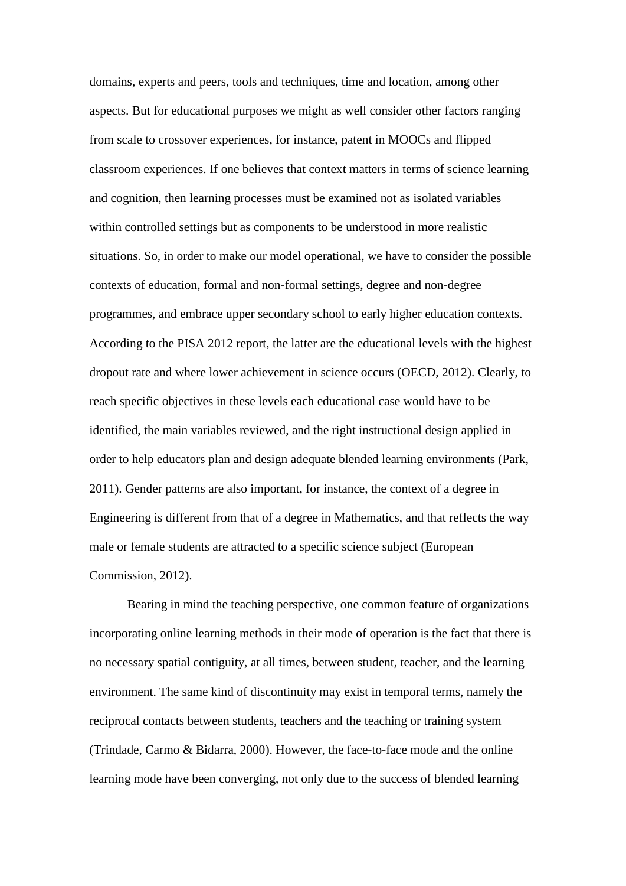domains, experts and peers, tools and techniques, time and location, among other aspects. But for educational purposes we might as well consider other factors ranging from scale to crossover experiences, for instance, patent in MOOCs and flipped classroom experiences. If one believes that context matters in terms of science learning and cognition, then learning processes must be examined not as isolated variables within controlled settings but as components to be understood in more realistic situations. So, in order to make our model operational, we have to consider the possible contexts of education, formal and non-formal settings, degree and non-degree programmes, and embrace upper secondary school to early higher education contexts. According to the PISA 2012 report, the latter are the educational levels with the highest dropout rate and where lower achievement in science occurs (OECD, 2012). Clearly, to reach specific objectives in these levels each educational case would have to be identified, the main variables reviewed, and the right instructional design applied in order to help educators plan and design adequate blended learning environments (Park, 2011). Gender patterns are also important, for instance, the context of a degree in Engineering is different from that of a degree in Mathematics, and that reflects the way male or female students are attracted to a specific science subject (European Commission, 2012).

Bearing in mind the teaching perspective, one common feature of organizations incorporating online learning methods in their mode of operation is the fact that there is no necessary spatial contiguity, at all times, between student, teacher, and the learning environment. The same kind of discontinuity may exist in temporal terms, namely the reciprocal contacts between students, teachers and the teaching or training system (Trindade, Carmo & Bidarra, 2000). However, the face-to-face mode and the online learning mode have been converging, not only due to the success of blended learning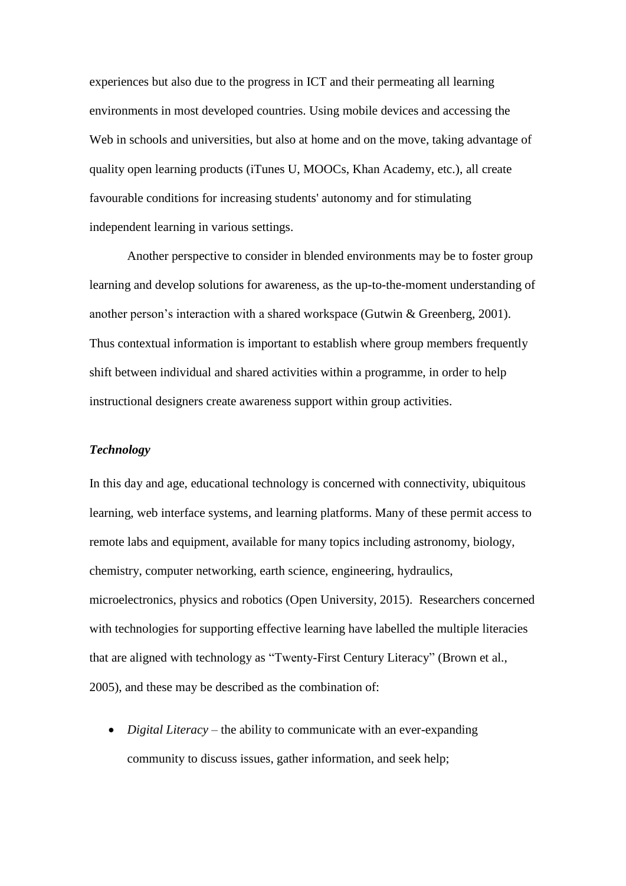experiences but also due to the progress in ICT and their permeating all learning environments in most developed countries. Using mobile devices and accessing the Web in schools and universities, but also at home and on the move, taking advantage of quality open learning products (iTunes U, MOOCs, Khan Academy, etc.), all create favourable conditions for increasing students' autonomy and for stimulating independent learning in various settings.

Another perspective to consider in blended environments may be to foster group learning and develop solutions for awareness, as the up-to-the-moment understanding of another person's interaction with a shared workspace (Gutwin & Greenberg, 2001). Thus contextual information is important to establish where group members frequently shift between individual and shared activities within a programme, in order to help instructional designers create awareness support within group activities.

## *Technology*

In this day and age, educational technology is concerned with connectivity, ubiquitous learning, web interface systems, and learning platforms. Many of these permit access to remote labs and equipment, available for many topics including astronomy, biology, chemistry, computer networking, earth science, engineering, hydraulics, microelectronics, physics and robotics (Open University, 2015). Researchers concerned with technologies for supporting effective learning have labelled the multiple literacies that are aligned with technology as "Twenty-First Century Literacy" (Brown et al., 2005), and these may be described as the combination of:

 *Digital Literacy* – the ability to communicate with an ever-expanding community to discuss issues, gather information, and seek help;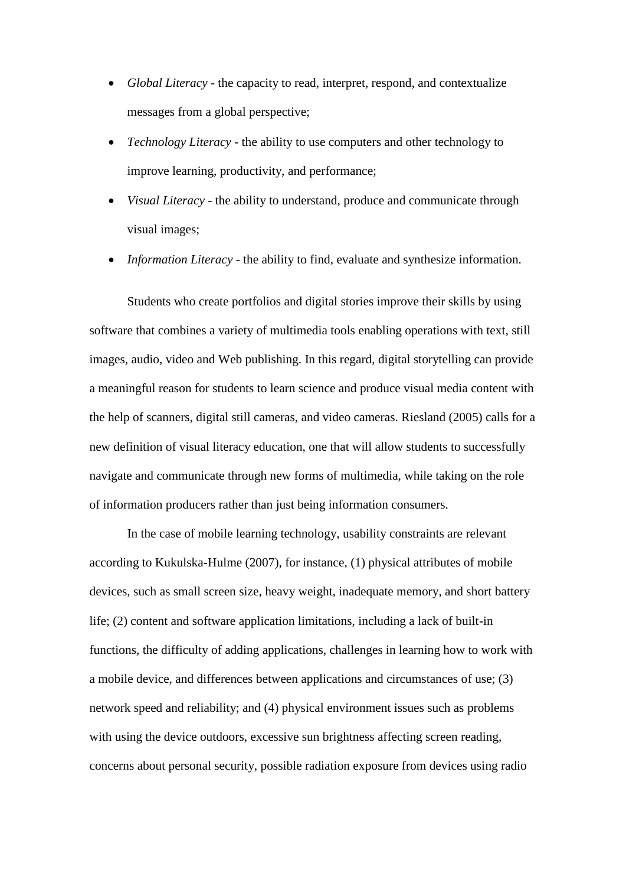- *Global Literacy* the capacity to read, interpret, respond, and contextualize messages from a global perspective;
- *Technology Literacy* the ability to use computers and other technology to improve learning, productivity, and performance;
- *Visual Literacy* the ability to understand, produce and communicate through visual images;
- *Information Literacy* the ability to find, evaluate and synthesize information.

Students who create portfolios and digital stories improve their skills by using software that combines a variety of multimedia tools enabling operations with text, still images, audio, video and Web publishing. In this regard, digital storytelling can provide a meaningful reason for students to learn science and produce visual media content with the help of scanners, digital still cameras, and video cameras. Riesland (2005) calls for a new definition of visual literacy education, one that will allow students to successfully navigate and communicate through new forms of multimedia, while taking on the role of information producers rather than just being information consumers.

In the case of mobile learning technology, usability constraints are relevant according to Kukulska-Hulme (2007), for instance, (1) physical attributes of mobile devices, such as small screen size, heavy weight, inadequate memory, and short battery life; (2) content and software application limitations, including a lack of built-in functions, the difficulty of adding applications, challenges in learning how to work with a mobile device, and differences between applications and circumstances of use; (3) network speed and reliability; and (4) physical environment issues such as problems with using the device outdoors, excessive sun brightness affecting screen reading, concerns about personal security, possible radiation exposure from devices using radio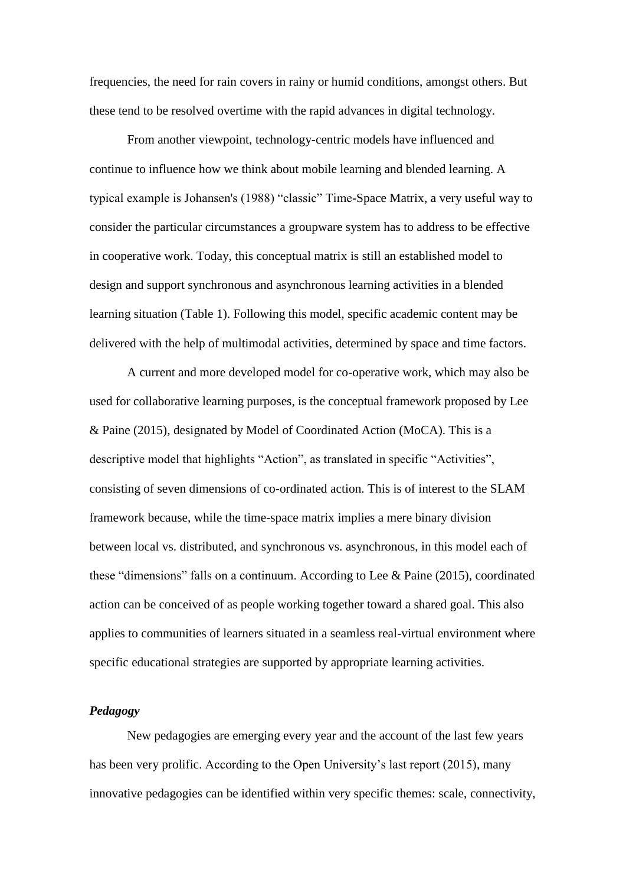frequencies, the need for rain covers in rainy or humid conditions, amongst others. But these tend to be resolved overtime with the rapid advances in digital technology.

From another viewpoint, technology-centric models have influenced and continue to influence how we think about mobile learning and blended learning. A typical example is Johansen's (1988) "classic" Time-Space Matrix, a very useful way to consider the particular circumstances a groupware system has to address to be effective in cooperative work. Today, this conceptual matrix is still an established model to design and support synchronous and asynchronous learning activities in a blended learning situation (Table 1). Following this model, specific academic content may be delivered with the help of multimodal activities, determined by space and time factors.

A current and more developed model for co-operative work, which may also be used for collaborative learning purposes, is the conceptual framework proposed by Lee & Paine (2015), designated by Model of Coordinated Action (MoCA). This is a descriptive model that highlights "Action", as translated in specific "Activities", consisting of seven dimensions of co-ordinated action. This is of interest to the SLAM framework because, while the time-space matrix implies a mere binary division between local vs. distributed, and synchronous vs. asynchronous, in this model each of these "dimensions" falls on a continuum. According to Lee & Paine (2015), coordinated action can be conceived of as people working together toward a shared goal. This also applies to communities of learners situated in a seamless real-virtual environment where specific educational strategies are supported by appropriate learning activities.

## *Pedagogy*

New pedagogies are emerging every year and the account of the last few years has been very prolific. According to the Open University's last report (2015), many innovative pedagogies can be identified within very specific themes: scale, connectivity,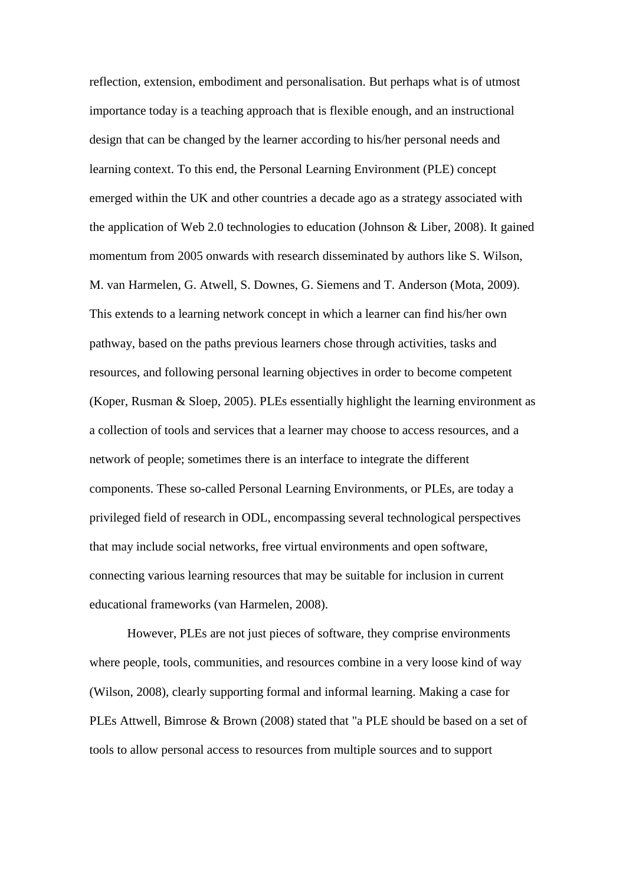reflection, extension, embodiment and personalisation. But perhaps what is of utmost importance today is a teaching approach that is flexible enough, and an instructional design that can be changed by the learner according to his/her personal needs and learning context. To this end, the Personal Learning Environment (PLE) concept emerged within the UK and other countries a decade ago as a strategy associated with the application of Web 2.0 technologies to education (Johnson & Liber, 2008). It gained momentum from 2005 onwards with research disseminated by authors like S. Wilson, M. van Harmelen, G. Atwell, S. Downes, G. Siemens and T. Anderson (Mota, 2009). This extends to a learning network concept in which a learner can find his/her own pathway, based on the paths previous learners chose through activities, tasks and resources, and following personal learning objectives in order to become competent (Koper, Rusman & Sloep, 2005). PLEs essentially highlight the learning environment as a collection of tools and services that a learner may choose to access resources, and a network of people; sometimes there is an interface to integrate the different components. These so-called Personal Learning Environments, or PLEs, are today a privileged field of research in ODL, encompassing several technological perspectives that may include social networks, free virtual environments and open software, connecting various learning resources that may be suitable for inclusion in current educational frameworks (van Harmelen, 2008).

However, PLEs are not just pieces of software, they comprise environments where people, tools, communities, and resources combine in a very loose kind of way (Wilson, 2008), clearly supporting formal and informal learning. Making a case for PLEs Attwell, Bimrose & Brown (2008) stated that "a PLE should be based on a set of tools to allow personal access to resources from multiple sources and to support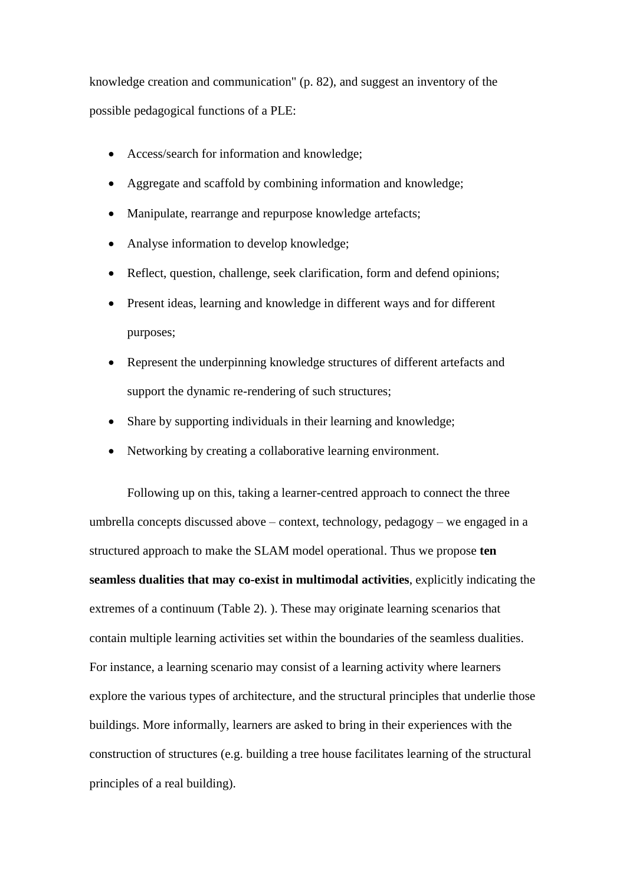knowledge creation and communication" (p. 82), and suggest an inventory of the possible pedagogical functions of a PLE:

- Access/search for information and knowledge;
- Aggregate and scaffold by combining information and knowledge;
- Manipulate, rearrange and repurpose knowledge artefacts;
- Analyse information to develop knowledge;
- Reflect, question, challenge, seek clarification, form and defend opinions;
- Present ideas, learning and knowledge in different ways and for different purposes;
- Represent the underpinning knowledge structures of different artefacts and support the dynamic re-rendering of such structures;
- Share by supporting individuals in their learning and knowledge;
- Networking by creating a collaborative learning environment.

Following up on this, taking a learner-centred approach to connect the three umbrella concepts discussed above – context, technology, pedagogy – we engaged in a structured approach to make the SLAM model operational. Thus we propose **ten seamless dualities that may co-exist in multimodal activities**, explicitly indicating the extremes of a continuum (Table 2). ). These may originate learning scenarios that contain multiple learning activities set within the boundaries of the seamless dualities. For instance, a learning scenario may consist of a learning activity where learners explore the various types of architecture, and the structural principles that underlie those buildings. More informally, learners are asked to bring in their experiences with the construction of structures (e.g. building a tree house facilitates learning of the structural principles of a real building).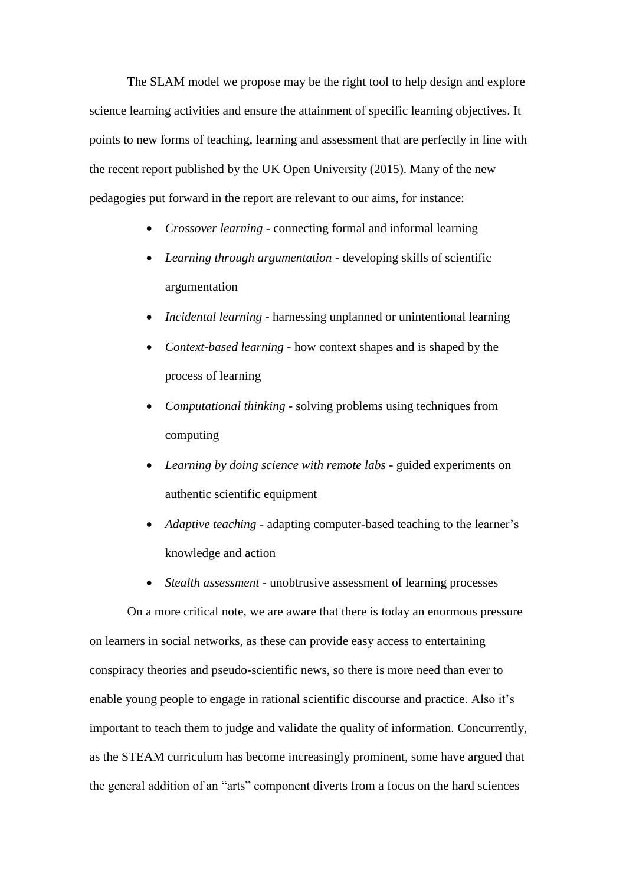The SLAM model we propose may be the right tool to help design and explore science learning activities and ensure the attainment of specific learning objectives. It points to new forms of teaching, learning and assessment that are perfectly in line with the recent report published by the UK Open University (2015). Many of the new pedagogies put forward in the report are relevant to our aims, for instance:

- *Crossover learning* connecting formal and informal learning
- *Learning through argumentation* developing skills of scientific argumentation
- *Incidental learning* harnessing unplanned or unintentional learning
- *Context-based learning* how context shapes and is shaped by the process of learning
- *Computational thinking* solving problems using techniques from computing
- *Learning by doing science with remote labs* guided experiments on authentic scientific equipment
- *Adaptive teaching* adapting computer-based teaching to the learner's knowledge and action
- *Stealth assessment* unobtrusive assessment of learning processes

On a more critical note, we are aware that there is today an enormous pressure on learners in social networks, as these can provide easy access to entertaining conspiracy theories and pseudo-scientific news, so there is more need than ever to enable young people to engage in rational scientific discourse and practice. Also it's important to teach them to judge and validate the quality of information. Concurrently, as the STEAM curriculum has become increasingly prominent, some have argued that the general addition of an "arts" component diverts from a focus on the hard sciences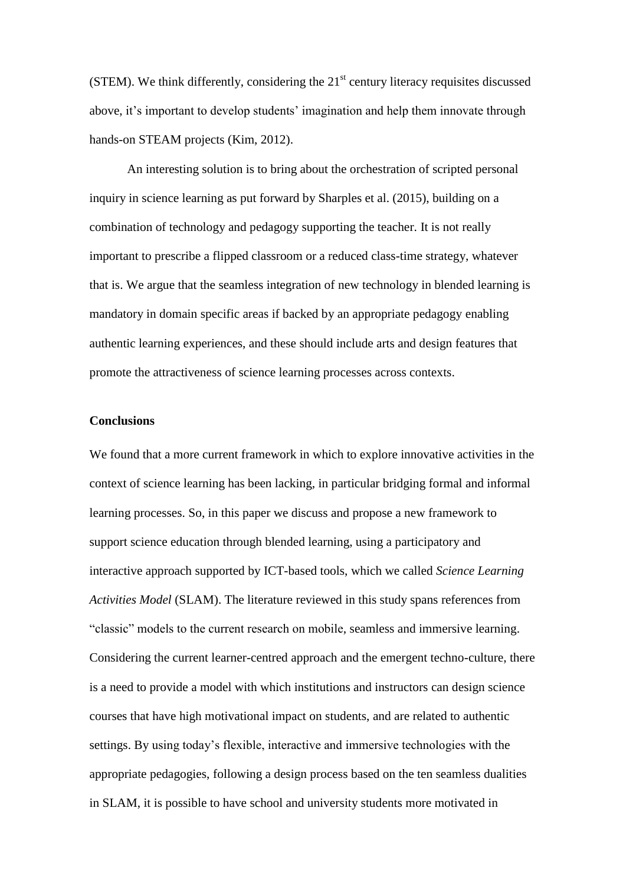(STEM). We think differently, considering the  $21<sup>st</sup>$  century literacy requisites discussed above, it's important to develop students' imagination and help them innovate through hands-on STEAM projects (Kim, 2012).

An interesting solution is to bring about the orchestration of scripted personal inquiry in science learning as put forward by Sharples et al. (2015), building on a combination of technology and pedagogy supporting the teacher. It is not really important to prescribe a flipped classroom or a reduced class-time strategy, whatever that is. We argue that the seamless integration of new technology in blended learning is mandatory in domain specific areas if backed by an appropriate pedagogy enabling authentic learning experiences, and these should include arts and design features that promote the attractiveness of science learning processes across contexts.

## **Conclusions**

We found that a more current framework in which to explore innovative activities in the context of science learning has been lacking, in particular bridging formal and informal learning processes. So, in this paper we discuss and propose a new framework to support science education through blended learning, using a participatory and interactive approach supported by ICT-based tools, which we called *Science Learning Activities Model* (SLAM). The literature reviewed in this study spans references from "classic" models to the current research on mobile, seamless and immersive learning. Considering the current learner-centred approach and the emergent techno-culture, there is a need to provide a model with which institutions and instructors can design science courses that have high motivational impact on students, and are related to authentic settings. By using today's flexible, interactive and immersive technologies with the appropriate pedagogies, following a design process based on the ten seamless dualities in SLAM, it is possible to have school and university students more motivated in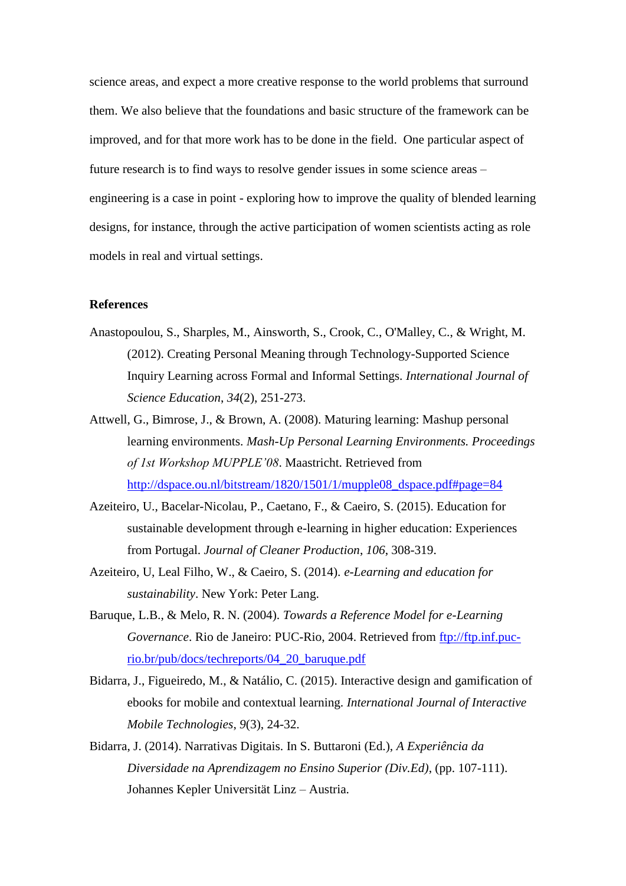science areas, and expect a more creative response to the world problems that surround them. We also believe that the foundations and basic structure of the framework can be improved, and for that more work has to be done in the field. One particular aspect of future research is to find ways to resolve gender issues in some science areas – engineering is a case in point - exploring how to improve the quality of blended learning designs, for instance, through the active participation of women scientists acting as role models in real and virtual settings.

### **References**

- Anastopoulou, S., Sharples, M., Ainsworth, S., Crook, C., O'Malley, C., & Wright, M. (2012). Creating Personal Meaning through Technology-Supported Science Inquiry Learning across Formal and Informal Settings. *International Journal of Science Education*, *34*(2), 251-273.
- Attwell, G., Bimrose, J., & Brown, A. (2008). Maturing learning: Mashup personal learning environments. *Mash-Up Personal Learning Environments. Proceedings of 1st Workshop MUPPLE'08*. Maastricht. Retrieved from [http://dspace.ou.nl/bitstream/1820/1501/1/mupple08\\_dspace.pdf#page=84](http://dspace.ou.nl/bitstream/1820/1501/1/mupple08_dspace.pdf#page=84)
- Azeiteiro, U., Bacelar-Nicolau, P., Caetano, F., & Caeiro, S. (2015). Education for sustainable development through e-learning in higher education: Experiences from Portugal. *Journal of Cleaner Production*, *106*, 308-319.
- Azeiteiro, U, Leal Filho, W., & Caeiro, S. (2014). *e-Learning and education for sustainability*. New York: Peter Lang.
- Baruque, L.B., & Melo, R. N. (2004). *Towards a Reference Model for e-Learning Governance*. Rio de Janeiro: PUC-Rio, 2004. Retrieved from [ftp://ftp.inf.puc](ftp://ftp.inf.puc-rio.br/pub/docs/techreports/04_20_baruque.pdf)[rio.br/pub/docs/techreports/04\\_20\\_baruque.pdf](ftp://ftp.inf.puc-rio.br/pub/docs/techreports/04_20_baruque.pdf)
- Bidarra, J., Figueiredo, M., & Natálio, C. (2015). Interactive design and gamification of ebooks for mobile and contextual learning. *International Journal of Interactive Mobile Technologies*, *9*(3), 24-32.
- Bidarra, J. (2014). Narrativas Digitais. In S. Buttaroni (Ed.), *A Experiência da Diversidade na Aprendizagem no Ensino Superior (Div.Ed)*, (pp. 107-111). Johannes Kepler Universität Linz – Austria.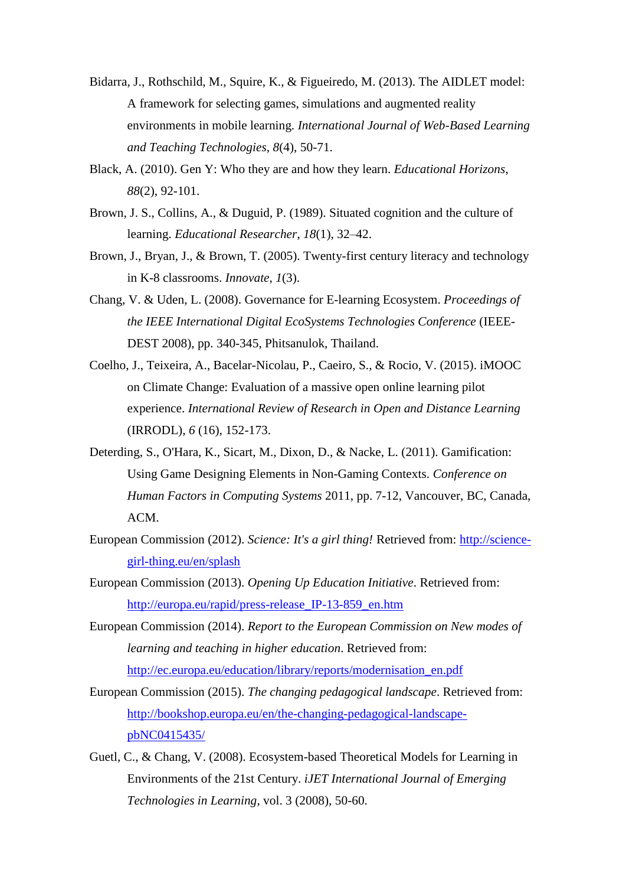- Bidarra, J., Rothschild, M., Squire, K., & Figueiredo, M. (2013). The AIDLET model: A framework for selecting games, simulations and augmented reality environments in mobile learning. *International Journal of Web-Based Learning and Teaching Technologies*, *8*(4), 50-71.
- Black, A. (2010). Gen Y: Who they are and how they learn. *Educational Horizons*, *88*(2), 92-101.
- Brown, J. S., Collins, A., & Duguid, P. (1989). Situated cognition and the culture of learning. *Educational Researcher*, *18*(1), 32–42.
- Brown, J., Bryan, J., & Brown, T. (2005). Twenty-first century literacy and technology in K-8 classrooms. *Innovate*, *1*(3).
- Chang, V. & Uden, L. (2008). Governance for E-learning Ecosystem. *Proceedings of the IEEE International Digital EcoSystems Technologies Conference* (IEEE-DEST 2008), pp. 340-345, Phitsanulok, Thailand.
- Coelho, J., Teixeira, A., Bacelar-Nicolau, P., Caeiro, S., & Rocio, V. (2015). iMOOC on Climate Change: Evaluation of a massive open online learning pilot experience. *International Review of Research in Open and Distance Learning* (IRRODL), *6* (16), 152-173.
- Deterding, S., O'Hara, K., Sicart, M., Dixon, D., & Nacke, L. (2011). Gamification: Using Game Designing Elements in Non-Gaming Contexts. *Conference on Human Factors in Computing Systems* 2011, pp. 7-12, Vancouver, BC, Canada, ACM.
- European Commission (2012). *Science: It's a girl thing!* Retrieved from: [http://science](http://science-girl-thing.eu/en/splash)[girl-thing.eu/en/splash](http://science-girl-thing.eu/en/splash)
- European Commission (2013). *Opening Up Education Initiative*. Retrieved from: [http://europa.eu/rapid/press-release\\_IP-13-859\\_en.htm](http://europa.eu/rapid/press-release_IP-13-859_en.htm)
- European Commission (2014). *Report to the European Commission on New modes of learning and teaching in higher education*. Retrieved from: [http://ec.europa.eu/education/library/reports/modernisation\\_en.pdf](http://ec.europa.eu/education/library/reports/modernisation_en.pdf)
- European Commission (2015). *The changing pedagogical landscape*. Retrieved from: [http://bookshop.europa.eu/en/the-changing-pedagogical-landscape](http://bookshop.europa.eu/en/the-changing-pedagogical-landscape-pbNC0415435/)[pbNC0415435/](http://bookshop.europa.eu/en/the-changing-pedagogical-landscape-pbNC0415435/)
- Guetl, C., & Chang, V. (2008). Ecosystem-based Theoretical Models for Learning in Environments of the 21st Century. *iJET International Journal of Emerging Technologies in Learning*, vol. 3 (2008), 50-60.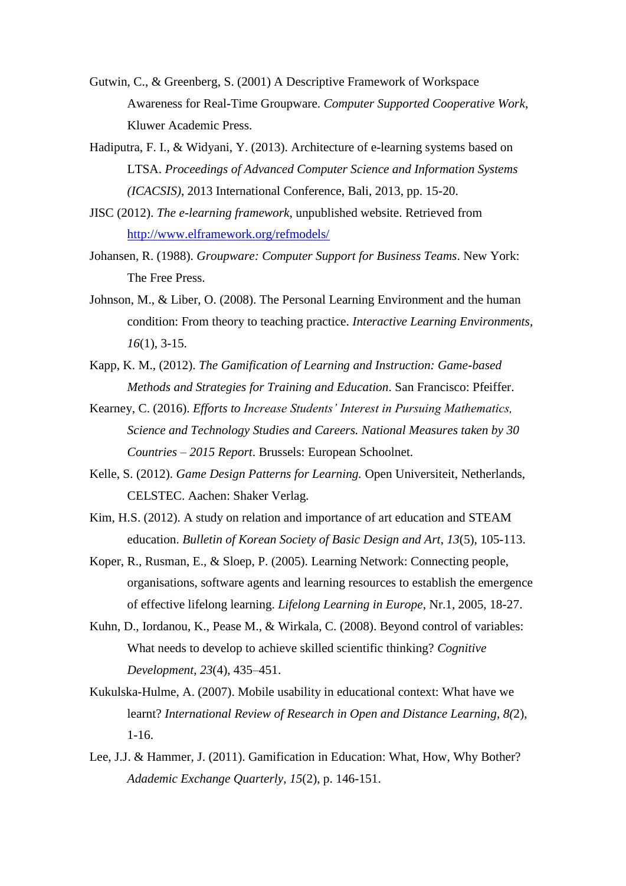- Gutwin, C., & Greenberg, S. (2001) A Descriptive Framework of Workspace Awareness for Real-Time Groupware. *Computer Supported Cooperative Work*, Kluwer Academic Press.
- Hadiputra, F. I., & Widyani, Y. (2013). Architecture of e-learning systems based on LTSA. *Proceedings of Advanced Computer Science and Information Systems (ICACSIS)*, 2013 International Conference, Bali, 2013, pp. 15-20.
- JISC (2012). *The e-learning framework*, unpublished website. Retrieved from <http://www.elframework.org/refmodels/>
- Johansen, R. (1988). *Groupware: Computer Support for Business Teams*. New York: The Free Press.
- Johnson, M., & Liber, O. (2008). The Personal Learning Environment and the human condition: From theory to teaching practice. *Interactive Learning Environments*, *16*(1), 3-15.
- Kapp, K. M., (2012). *The Gamification of Learning and Instruction: Game-based Methods and Strategies for Training and Education*. San Francisco: Pfeiffer.
- Kearney, C. (2016). *Efforts to Increase Students' Interest in Pursuing Mathematics, Science and Technology Studies and Careers. National Measures taken by 30 Countries – 2015 Report*. Brussels: European Schoolnet.
- Kelle, S. (2012). *Game Design Patterns for Learning.* Open Universiteit, Netherlands, CELSTEC. Aachen: Shaker Verlag.
- Kim, H.S. (2012). A study on relation and importance of art education and STEAM education. *Bulletin of Korean Society of Basic Design and Art*, *13*(5), 105-113.
- Koper, R., Rusman, E., & Sloep, P. (2005). Learning Network: Connecting people, organisations, software agents and learning resources to establish the emergence of effective lifelong learning. *Lifelong Learning in Europe*, Nr.1, 2005, 18-27.
- Kuhn, D., Iordanou, K., Pease M., & Wirkala, C. (2008). Beyond control of variables: What needs to develop to achieve skilled scientific thinking? *Cognitive Development*, *23*(4), 435–451.
- Kukulska-Hulme, A. (2007). Mobile usability in educational context: What have we learnt? *International Review of Research in Open and Distance Learning*, *8(*2), 1-16.
- Lee, J.J. & Hammer, J. (2011). Gamification in Education: What, How, Why Bother? *Adademic Exchange Quarterly*, *15*(2), p. 146-151.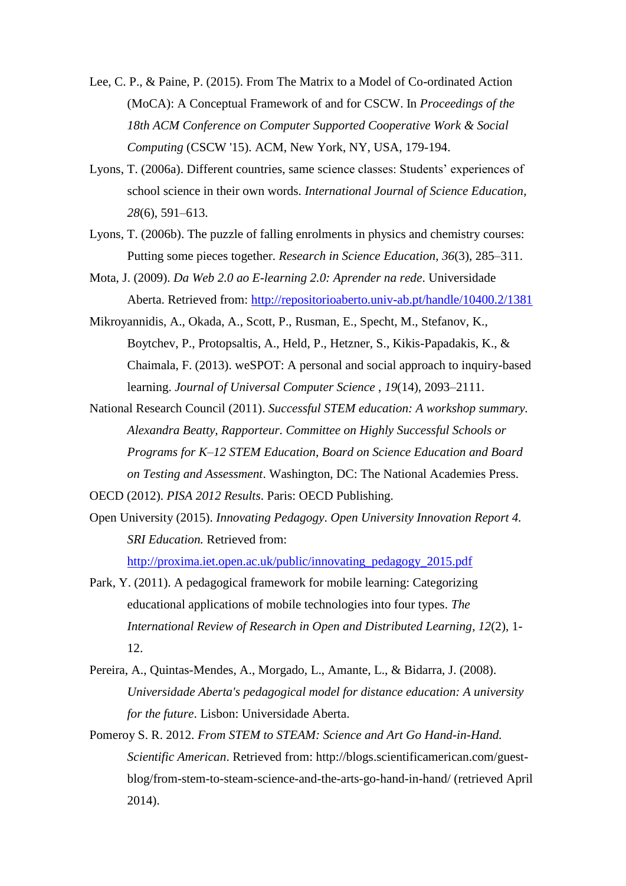- Lee, C. P., & Paine, P. (2015). From The Matrix to a Model of Co-ordinated Action (MoCA): A Conceptual Framework of and for CSCW. In *Proceedings of the 18th ACM Conference on Computer Supported Cooperative Work & Social Computing* (CSCW '15). ACM, New York, NY, USA, 179-194.
- Lyons, T. (2006a). Different countries, same science classes: Students' experiences of school science in their own words. *International Journal of Science Education*, *28*(6), 591–613.
- Lyons, T. (2006b). The puzzle of falling enrolments in physics and chemistry courses: Putting some pieces together. *Research in Science Education*, *36*(3), 285–311.
- Mota, J. (2009). *Da Web 2.0 ao E-learning 2.0: Aprender na rede*. Universidade Aberta. Retrieved from:<http://repositorioaberto.univ-ab.pt/handle/10400.2/1381>
- Mikroyannidis, A., Okada, A., Scott, P., Rusman, E., Specht, M., Stefanov, K., Boytchev, P., Protopsaltis, A., Held, P., Hetzner, S., Kikis-Papadakis, K., & Chaimala, F. (2013). weSPOT: A personal and social approach to inquiry-based learning. *Journal of Universal Computer Science* , *19*(14), 2093–2111.
- National Research Council (2011). *Successful STEM education: A workshop summary. Alexandra Beatty, Rapporteur. Committee on Highly Successful Schools or Programs for K–12 STEM Education, Board on Science Education and Board on Testing and Assessment*. Washington, DC: The National Academies Press.
- OECD (2012). *PISA 2012 Results*. Paris: OECD Publishing.
- Open University (2015). *Innovating Pedagogy*. *Open University Innovation Report 4. SRI Education.* Retrieved from: [http://proxima.iet.open.ac.uk/public/innovating\\_pedagogy\\_2015.pdf](http://proxima.iet.open.ac.uk/public/innovating_pedagogy_2015.pdf)
- Park, Y. (2011). A pedagogical framework for mobile learning: Categorizing educational applications of mobile technologies into four types. *The International Review of Research in Open and Distributed Learning*, *12*(2), 1- 12.
- Pereira, A., Quintas-Mendes, A., Morgado, L., Amante, L., & Bidarra, J. (2008). *Universidade Aberta's pedagogical model for distance education: A university for the future*. Lisbon: Universidade Aberta.
- Pomeroy S. R. 2012. *From STEM to STEAM: Science and Art Go Hand-in-Hand. Scientific American*. Retrieved from: http://blogs.scientificamerican.com/guestblog/from-stem-to-steam-science-and-the-arts-go-hand-in-hand/ (retrieved April 2014).